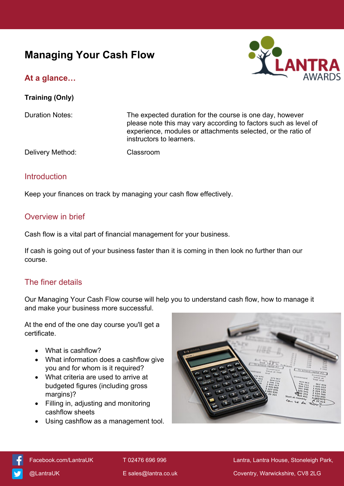# **Managing Your Cash Flow**



# **At a glance…**

**Training (Only)**

Duration Notes: The expected duration for the course is one day, however please note this may vary according to factors such as level of experience, modules or attachments selected, or the ratio of instructors to learners.

Delivery Method: Classroom

### Introduction

Keep your finances on track by managing your cash flow effectively.

### Overview in brief

Cash flow is a vital part of financial management for your business.

If cash is going out of your business faster than it is coming in then look no further than our course.

## The finer details

Our Managing Your Cash Flow course will help you to understand cash flow, how to manage it and make your business more successful.

At the end of the one day course you'll get a certificate.

- What is cashflow?
- What information does a cashflow give you and for whom is it required?
- What criteria are used to arrive at budgeted figures (including gross margins)?
- Filling in, adjusting and monitoring cashflow sheets
- Using cashflow as a management tool.